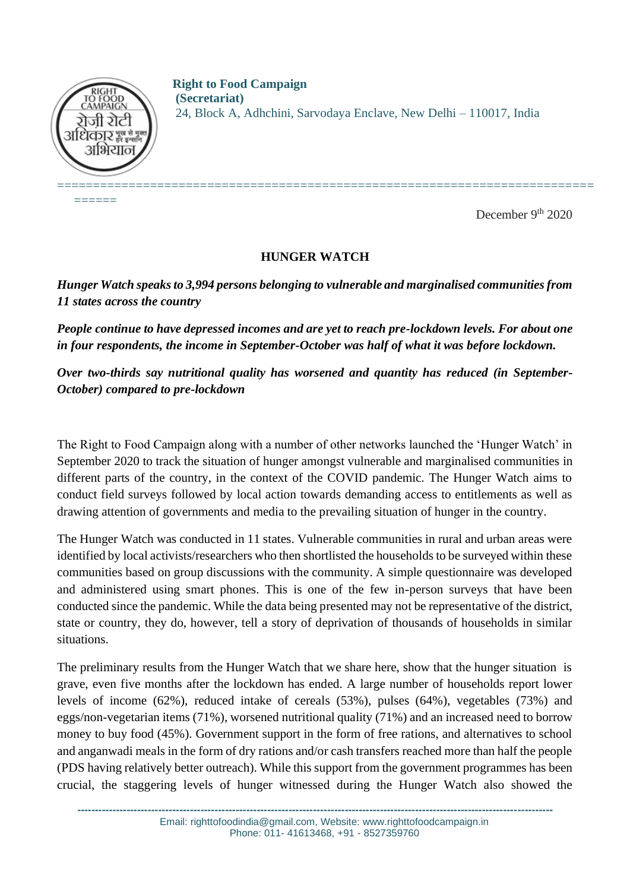

======

**Right to Food Campaign (Secretariat)** 24, Block A, Adhchini, Sarvodaya Enclave, New Delhi – 110017, India

December 9<sup>th</sup> 2020

# **HUNGER WATCH**

*Hunger Watch speaks to 3,994 persons belonging to vulnerable and marginalised communities from 11 states across the country*

*People continue to have depressed incomes and are yet to reach pre-lockdown levels. For about one in four respondents, the income in September-October was half of what it was before lockdown.* 

*Over two-thirds say nutritional quality has worsened and quantity has reduced (in September-October) compared to pre-lockdown*

The Right to Food Campaign along with a number of other networks launched the 'Hunger Watch' in September 2020 to track the situation of hunger amongst vulnerable and marginalised communities in different parts of the country, in the context of the COVID pandemic. The Hunger Watch aims to conduct field surveys followed by local action towards demanding access to entitlements as well as drawing attention of governments and media to the prevailing situation of hunger in the country.

The Hunger Watch was conducted in 11 states. Vulnerable communities in rural and urban areas were identified by local activists/researchers who then shortlisted the households to be surveyed within these communities based on group discussions with the community. A simple questionnaire was developed and administered using smart phones. This is one of the few in-person surveys that have been conducted since the pandemic. While the data being presented may not be representative of the district, state or country, they do, however, tell a story of deprivation of thousands of households in similar situations.

The preliminary results from the Hunger Watch that we share here, show that the hunger situation is grave, even five months after the lockdown has ended. A large number of households report lower levels of income (62%), reduced intake of cereals (53%), pulses (64%), vegetables (73%) and eggs/non-vegetarian items (71%), worsened nutritional quality (71%) and an increased need to borrow money to buy food (45%). Government support in the form of free rations, and alternatives to school and anganwadi meals in the form of dry rations and/or cash transfers reached more than half the people (PDS having relatively better outreach). While this support from the government programmes has been crucial, the staggering levels of hunger witnessed during the Hunger Watch also showed the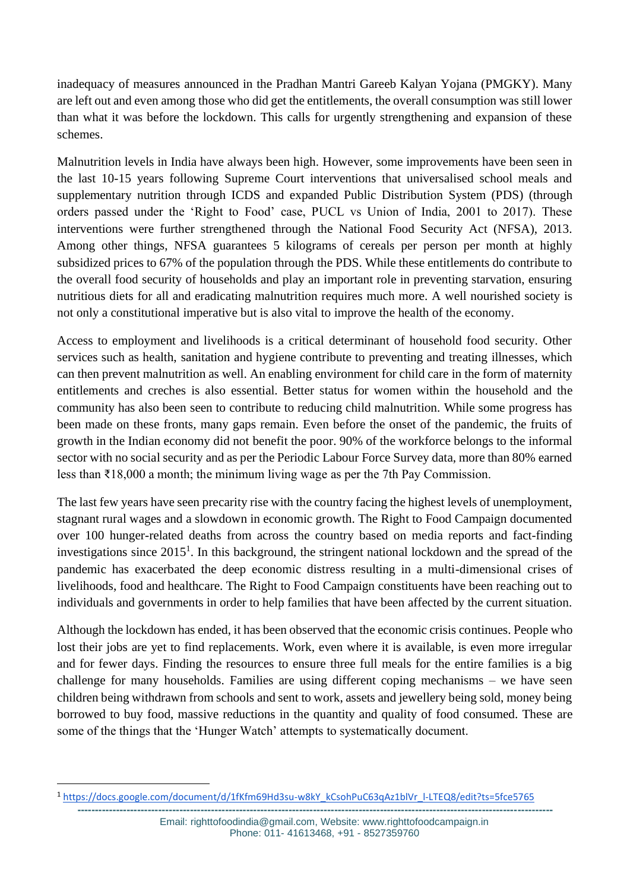inadequacy of measures announced in the Pradhan Mantri Gareeb Kalyan Yojana (PMGKY). Many are left out and even among those who did get the entitlements, the overall consumption was still lower than what it was before the lockdown. This calls for urgently strengthening and expansion of these schemes.

Malnutrition levels in India have always been high. However, some improvements have been seen in the last 10-15 years following Supreme Court interventions that universalised school meals and supplementary nutrition through ICDS and expanded Public Distribution System (PDS) (through orders passed under the 'Right to Food' case, PUCL vs Union of India, 2001 to 2017). These interventions were further strengthened through the National Food Security Act (NFSA), 2013. Among other things, NFSA guarantees 5 kilograms of cereals per person per month at highly subsidized prices to 67% of the population through the PDS. While these entitlements do contribute to the overall food security of households and play an important role in preventing starvation, ensuring nutritious diets for all and eradicating malnutrition requires much more. A well nourished society is not only a constitutional imperative but is also vital to improve the health of the economy.

Access to employment and livelihoods is a critical determinant of household food security. Other services such as health, sanitation and hygiene contribute to preventing and treating illnesses, which can then prevent malnutrition as well. An enabling environment for child care in the form of maternity entitlements and creches is also essential. Better status for women within the household and the community has also been seen to contribute to reducing child malnutrition. While some progress has been made on these fronts, many gaps remain. Even before the onset of the pandemic, the fruits of growth in the Indian economy did not benefit the poor. 90% of the workforce belongs to the informal sector with no social security and as per the Periodic Labour Force Survey data, more than 80% earned less than ₹18,000 a month; the minimum living wage as per the 7th Pay Commission.

The last few years have seen precarity rise with the country facing the highest levels of unemployment, stagnant rural wages and a slowdown in economic growth. The Right to Food Campaign documented over 100 hunger-related deaths from across the country based on media reports and fact-finding investigations since 2015<sup>1</sup>. In this background, the stringent national lockdown and the spread of the pandemic has exacerbated the deep economic distress resulting in a multi-dimensional crises of livelihoods, food and healthcare. The Right to Food Campaign constituents have been reaching out to individuals and governments in order to help families that have been affected by the current situation.

Although the lockdown has ended, it has been observed that the economic crisis continues. People who lost their jobs are yet to find replacements. Work, even where it is available, is even more irregular and for fewer days. Finding the resources to ensure three full meals for the entire families is a big challenge for many households. Families are using different coping mechanisms – we have seen children being withdrawn from schools and sent to work, assets and jewellery being sold, money being borrowed to buy food, massive reductions in the quantity and quality of food consumed. These are some of the things that the 'Hunger Watch' attempts to systematically document.

<sup>1</sup> [https://docs.google.com/document/d/1fKfm69Hd3su-w8kY\\_kCsohPuC63qAz1blVr\\_l-LTEQ8/edit?ts=5fce5765](https://docs.google.com/document/d/1fKfm69Hd3su-w8kY_kCsohPuC63qAz1blVr_l-LTEQ8/edit?ts=5fce5765)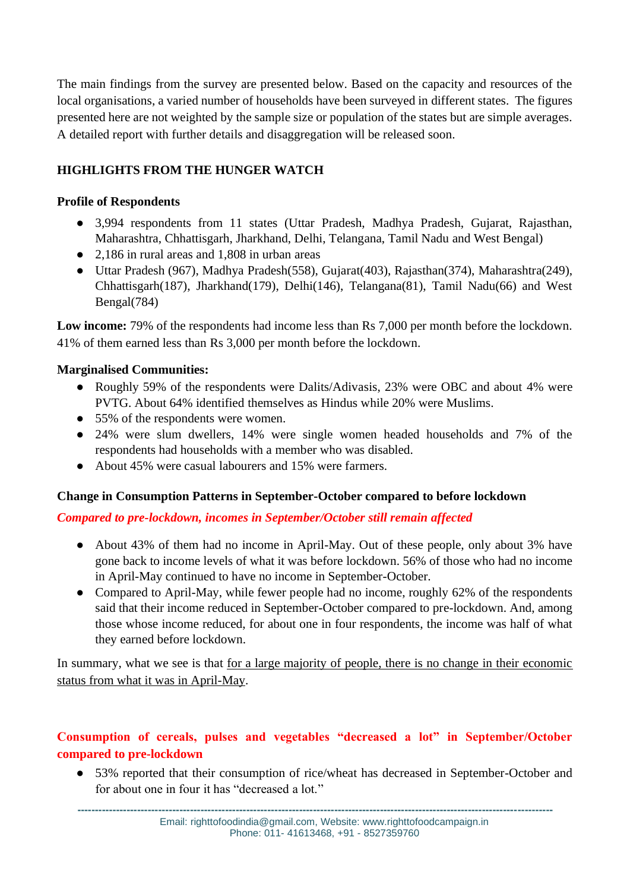The main findings from the survey are presented below. Based on the capacity and resources of the local organisations, a varied number of households have been surveyed in different states. The figures presented here are not weighted by the sample size or population of the states but are simple averages. A detailed report with further details and disaggregation will be released soon.

# **HIGHLIGHTS FROM THE HUNGER WATCH**

## **Profile of Respondents**

- 3,994 respondents from 11 states (Uttar Pradesh, Madhya Pradesh, Gujarat, Rajasthan, Maharashtra, Chhattisgarh, Jharkhand, Delhi, Telangana, Tamil Nadu and West Bengal)
- 2,186 in rural areas and 1,808 in urban areas
- Uttar Pradesh (967), Madhya Pradesh(558), Gujarat(403), Rajasthan(374), Maharashtra(249), Chhattisgarh(187), Jharkhand(179), Delhi(146), Telangana(81), Tamil Nadu(66) and West Bengal(784)

**Low income:** 79% of the respondents had income less than Rs 7,000 per month before the lockdown. 41% of them earned less than Rs 3,000 per month before the lockdown.

## **Marginalised Communities:**

- Roughly 59% of the respondents were Dalits/Adivasis, 23% were OBC and about 4% were PVTG. About 64% identified themselves as Hindus while 20% were Muslims.
- 55% of the respondents were women.
- 24% were slum dwellers, 14% were single women headed households and 7% of the respondents had households with a member who was disabled.
- About 45% were casual labourers and 15% were farmers.

## **Change in Consumption Patterns in September-October compared to before lockdown**

#### *Compared to pre-lockdown, incomes in September/October still remain affected*

- About 43% of them had no income in April-May. Out of these people, only about 3% have gone back to income levels of what it was before lockdown. 56% of those who had no income in April-May continued to have no income in September-October.
- Compared to April-May, while fewer people had no income, roughly 62% of the respondents said that their income reduced in September-October compared to pre-lockdown. And, among those whose income reduced, for about one in four respondents, the income was half of what they earned before lockdown.

In summary, what we see is that for a large majority of people, there is no change in their economic status from what it was in April-May.

# **Consumption of cereals, pulses and vegetables "decreased a lot" in September/October compared to pre-lockdown**

● 53% reported that their consumption of rice/wheat has decreased in September-October and for about one in four it has "decreased a lot."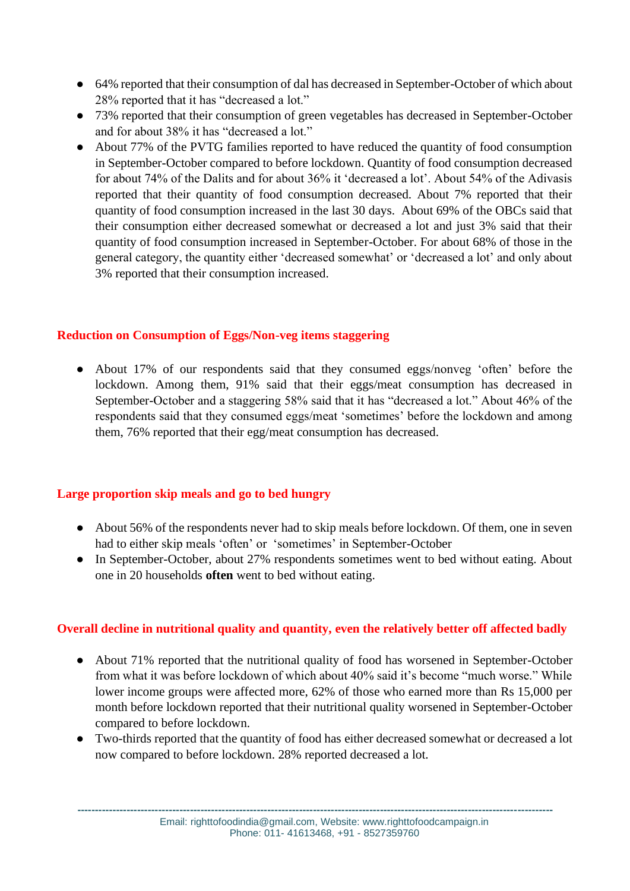- 64% reported that their consumption of dal has decreased in September-October of which about 28% reported that it has "decreased a lot."
- 73% reported that their consumption of green vegetables has decreased in September-October and for about 38% it has "decreased a lot."
- About 77% of the PVTG families reported to have reduced the quantity of food consumption in September-October compared to before lockdown. Quantity of food consumption decreased for about 74% of the Dalits and for about 36% it 'decreased a lot'. About 54% of the Adivasis reported that their quantity of food consumption decreased. About 7% reported that their quantity of food consumption increased in the last 30 days. About 69% of the OBCs said that their consumption either decreased somewhat or decreased a lot and just 3% said that their quantity of food consumption increased in September-October. For about 68% of those in the general category, the quantity either 'decreased somewhat' or 'decreased a lot' and only about 3% reported that their consumption increased.

## **Reduction on Consumption of Eggs/Non-veg items staggering**

• About 17% of our respondents said that they consumed eggs/nonveg 'often' before the lockdown. Among them, 91% said that their eggs/meat consumption has decreased in September-October and a staggering 58% said that it has "decreased a lot." About 46% of the respondents said that they consumed eggs/meat 'sometimes' before the lockdown and among them, 76% reported that their egg/meat consumption has decreased.

#### **Large proportion skip meals and go to bed hungry**

- About 56% of the respondents never had to skip meals before lockdown. Of them, one in seven had to either skip meals 'often' or 'sometimes' in September-October
- In September-October, about 27% respondents sometimes went to bed without eating. About one in 20 households **often** went to bed without eating.

## **Overall decline in nutritional quality and quantity, even the relatively better off affected badly**

- About 71% reported that the nutritional quality of food has worsened in September-October from what it was before lockdown of which about 40% said it's become "much worse." While lower income groups were affected more, 62% of those who earned more than Rs 15,000 per month before lockdown reported that their nutritional quality worsened in September-October compared to before lockdown.
- Two-thirds reported that the quantity of food has either decreased somewhat or decreased a lot now compared to before lockdown. 28% reported decreased a lot.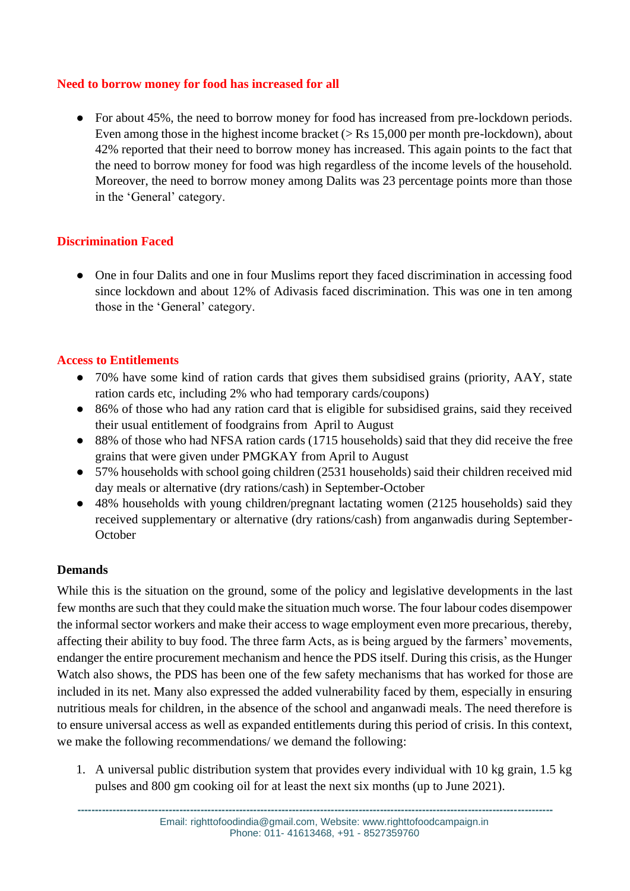## **Need to borrow money for food has increased for all**

● For about 45%, the need to borrow money for food has increased from pre-lockdown periods. Even among those in the highest income bracket  $(>$  Rs 15,000 per month pre-lockdown), about 42% reported that their need to borrow money has increased. This again points to the fact that the need to borrow money for food was high regardless of the income levels of the household. Moreover, the need to borrow money among Dalits was 23 percentage points more than those in the 'General' category.

## **Discrimination Faced**

• One in four Dalits and one in four Muslims report they faced discrimination in accessing food since lockdown and about 12% of Adivasis faced discrimination. This was one in ten among those in the 'General' category.

#### **Access to Entitlements**

- 70% have some kind of ration cards that gives them subsidised grains (priority, AAY, state ration cards etc, including 2% who had temporary cards/coupons)
- 86% of those who had any ration card that is eligible for subsidised grains, said they received their usual entitlement of foodgrains from April to August
- 88% of those who had NFSA ration cards (1715 households) said that they did receive the free grains that were given under PMGKAY from April to August
- 57% households with school going children (2531 households) said their children received mid day meals or alternative (dry rations/cash) in September-October
- 48% households with young children/pregnant lactating women (2125 households) said they received supplementary or alternative (dry rations/cash) from anganwadis during September-**October**

#### **Demands**

While this is the situation on the ground, some of the policy and legislative developments in the last few months are such that they could make the situation much worse. The four labour codes disempower the informal sector workers and make their access to wage employment even more precarious, thereby, affecting their ability to buy food. The three farm Acts, as is being argued by the farmers' movements, endanger the entire procurement mechanism and hence the PDS itself. During this crisis, as the Hunger Watch also shows, the PDS has been one of the few safety mechanisms that has worked for those are included in its net. Many also expressed the added vulnerability faced by them, especially in ensuring nutritious meals for children, in the absence of the school and anganwadi meals. The need therefore is to ensure universal access as well as expanded entitlements during this period of crisis. In this context, we make the following recommendations/ we demand the following:

1. A universal public distribution system that provides every individual with 10 kg grain, 1.5 kg pulses and 800 gm cooking oil for at least the next six months (up to June 2021).